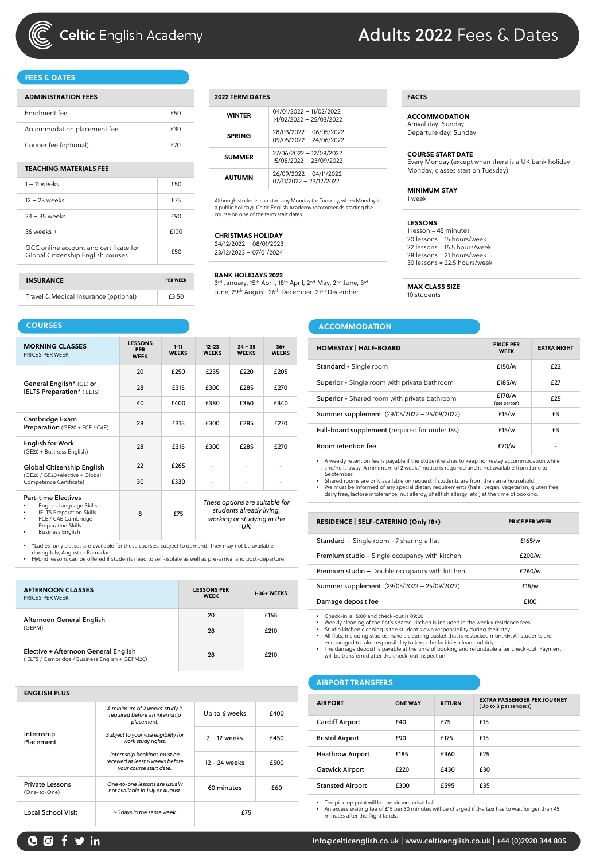

# **Celtic** English Academy

# Adults 2022 Fees & Dates

### **FEES & DATES**

| <b>ADMINISTRATION FEES</b>                                                   |                 |
|------------------------------------------------------------------------------|-----------------|
| Enrolment fee                                                                | £50             |
| Accommodation placement fee                                                  | £30             |
| Courier fee (optional)                                                       | £70             |
|                                                                              |                 |
| <b>TEACHING MATERIALS FEE</b>                                                |                 |
| $1 - 11$ weeks                                                               | £50             |
| $12 - 23$ weeks                                                              | <b>f75</b>      |
| 24 - 35 weeks                                                                | £90             |
| $36$ weeks $+$                                                               | £100            |
| GCC online account and certificate for<br>Global Citizenship English courses | £50             |
|                                                                              |                 |
| <b>INSURANCE</b>                                                             | <b>PER WEEK</b> |

Travel & Medical Insurance (optional) [53.50]

| 2022 TERM DATES |                                                    |  |  |  |  |
|-----------------|----------------------------------------------------|--|--|--|--|
| <b>WINTFR</b>   | 04/01/2022 - 11/02/2022<br>14/02/2022 - 25/03/2022 |  |  |  |  |
| <b>SPRING</b>   | 28/03/2022 - 06/05/2022<br>09/05/2022 - 24/06/2022 |  |  |  |  |
| <b>SUMMER</b>   | 27/06/2022 - 12/08/2022<br>15/08/2022 - 23/09/2022 |  |  |  |  |
| <b>AUTUMN</b>   | 26/09/2022 - 04/11/2022<br>07/11/2022 - 23/12/2022 |  |  |  |  |

Although students can start any Monday (or Tuesday, when Monday is a public holiday), Celtic English Academy recommends starting the course on one of the term start dates.

#### **CHRISTMAS HOLIDAY**

24/12/2022 – 08/01/2023 23/12/2023 – 07/01/2024

#### **BANK HOLIDAYS 2022**

3rd January, 15th April, 18th April, 2nd May, 2nd June, 3rd

June, 29th August, 26th December, 27th December

|  | ACCOMMODATION |  |
|--|---------------|--|
|  |               |  |

| $36+$<br><b>WEEKS</b> | <b>HOMESTAY   HALF-BOARD</b>                   | <b>PRICE PER</b><br><b>WEEK</b> | <b>EXTRA NIGHT</b> |
|-----------------------|------------------------------------------------|---------------------------------|--------------------|
| £205                  | Standard - Single room                         | £150/w                          | £22                |
|                       | Superior - Single room with private bathroom   | £185/w                          | £27                |
| £270                  |                                                | £170/w                          |                    |
| £340                  | Superior - Shared room with private bathroom   | (per person)                    | £25                |
|                       | Summer supplement (29/05/2022 - 25/09/2022)    | £15/w                           | £3                 |
| £270                  | Full-board supplement (required for under 18s) | £15/w                           | £3                 |
| £270                  | Room retention fee                             | £70/w                           |                    |
|                       |                                                |                                 |                    |

• A weekly retention fee is payable if the student wishes to keep homestay accommodation while she/he is away. A minimum of 2 weeks' notice is required and is not available from June to September.

• Shared rooms are only available on request if students are from the same household.<br>• We must be informed of any special dietary requirements (halal, vegan, vegetarian, gluten free,<br>• dairy free, lactose intolerance, nut

| <b>RESIDENCE   SELF-CATERING (Only 18+)</b>    | <b>PRICE PER WEEK</b> |
|------------------------------------------------|-----------------------|
| Standard - Single room - 7 sharing a flat      | £165/w                |
| Premium studio - Single occupancy with kitchen | £200/w                |
| Premium studio - Double occupancy with kitchen | £260/w                |
| Summer supplement (29/05/2022 - 25/09/2022)    | £15/w                 |
| Damage deposit fee                             | £100                  |

• Check-in is 15:00 and check-out is 09:00.

• Weekly cleaning of the flat's shared kitchen is included in the weekly residence fees.<br>• Studio kitchen cleaning is the student's own responsibility during their stay.<br>• All flats, including studios, have a cleaning bask

#### **AIRPORT TRANSFERS**

| <b>AIRPORT</b>          | <b>ONE WAY</b> | <b>RETURN</b> | <b>EXTRA PASSENGER PER JOURNEY</b><br>(Up to 3 passengers) |
|-------------------------|----------------|---------------|------------------------------------------------------------|
| <b>Cardiff Airport</b>  | £40            | £75           | £15                                                        |
| <b>Bristol Airport</b>  | £90            | £175          | £15                                                        |
| <b>Heathrow Airport</b> | £185           | £360          | £25                                                        |
| <b>Gatwick Airport</b>  | £220           | £430          | £30                                                        |
| <b>Stansted Airport</b> | £300           | £595          | £35                                                        |

• The pick-up point will be the airport arrival hall. • An excess waiting fee of £15 per 30 minutes will be charged if the taxi has to wait longer than 45 minutes after the flight lands.

| <b>COURSES</b>                                                |                                             |                          |                           |                           |                       |  |  |
|---------------------------------------------------------------|---------------------------------------------|--------------------------|---------------------------|---------------------------|-----------------------|--|--|
| <b>MORNING CLASSES</b><br>PRICES PER WEEK                     | <b>LESSONS</b><br><b>PER</b><br><b>WEEK</b> | $1 - 11$<br><b>WEEKS</b> | $12 - 23$<br><b>WEEKS</b> | $24 - 35$<br><b>WEEKS</b> | $36+$<br><b>WEEKS</b> |  |  |
|                                                               | 20                                          | £250                     | £235                      | £220                      | £205                  |  |  |
| General English* (GE) or<br><b>IELTS Preparation*</b> (IELTS) | 28                                          | £315                     | £300                      | £285                      | £270                  |  |  |
|                                                               | 40                                          | £400                     | £380                      | £360                      | £340                  |  |  |
| Cambridge Exam<br>Preparation (GE20 + FCE / CAE)              | 28                                          | £315                     | £300                      | £285                      | £270                  |  |  |
| <b>English for Work</b><br>(GE20 + Business English)          | 28                                          | £315                     | £300                      | £285                      | £270                  |  |  |
| Global Citizenship English                                    | 22                                          | £265                     |                           |                           |                       |  |  |
| (GE20 / GE20+elective + Global<br>Competence Certificate)     | 30                                          | £330                     |                           |                           |                       |  |  |

Part-time Electives • English Language Skills • IELTS Preparation Skills • FCE / CAE Cambridge Preparation Skills • Business English 8 £75 *These options are suitable for students already living, working or studying in the UK.* 

• \*Ladies-only classes are available for these courses, subject to demand. They may not be available

during July, August or Ramadan. • Hybrid lessons can be offered if students need to self-isolate as well as pre-arrival and post-departure.

| <b>AFTERNOON CLASSES</b><br>PRICES PER WEEK                                             | <b>LESSONS PER</b><br><b>WEEK</b> | 1-36+ WEEKS |
|-----------------------------------------------------------------------------------------|-----------------------------------|-------------|
| Afternoon General English                                                               | 20                                | £165        |
| (GEPM)                                                                                  | 28                                | £210        |
| Elective + Afternoon General English<br>(IELTS / Cambridge / Business English + GEPM20) | 28                                | £210        |

| <b>ENGLISH PLUS</b>                    |                                                                                            |                |      |  |  |  |
|----------------------------------------|--------------------------------------------------------------------------------------------|----------------|------|--|--|--|
|                                        | A minimum of 2 weeks' study is<br>required before an internship<br>placement.              | Up to 6 weeks  | £400 |  |  |  |
| Internship<br>Placement                | Subject to your visa eligibility for<br>work study rights.                                 | $7 - 12$ weeks | £450 |  |  |  |
|                                        | Internship bookings must be<br>received at least 6 weeks before<br>your course start date. | 12 - 24 weeks  | £500 |  |  |  |
| <b>Private Lessons</b><br>(One-to-One) | One-to-one lessons are usually<br>not available in July or August.                         | 60 minutes     | £60  |  |  |  |
| <b>Local School Visit</b>              | 1-5 days in the same week.                                                                 | £75            |      |  |  |  |

# $O O f$  y in

# **FACTS**

**ACCOMMODATION** Arrival day: Sunday Departure day: Sunday

#### **COURSE START DATE**

Every Monday (except when there is a UK bank holiday Monday, classes start on Tuesday)

#### **MINIMUM STAY** 1 week

**MAX CLASS SIZE** 10 students

**LESSONS** 1 lesson = 45 minutes 20 lessons = 15 hours/week 22 lessons = 16.5 hours/week 28 lessons = 21 hours/week 30 lessons = 22.5 hours/week